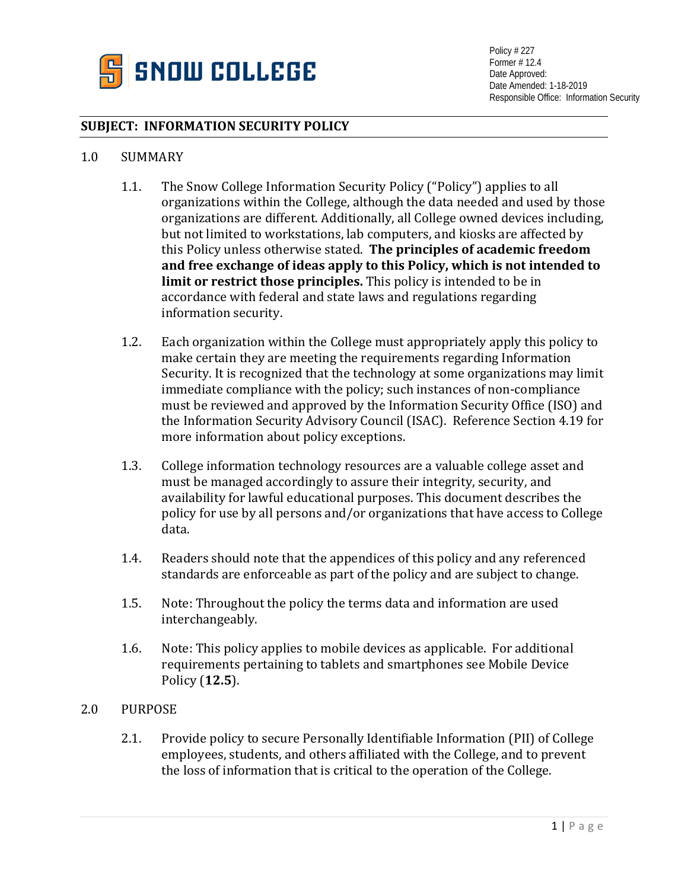

## **SUBJECT: INFORMATION SECURITY POLICY**

### 1.0 SUMMARY

- 1.1. The Snow College Information Security Policy ("Policy") applies to all organizations within the College, although the data needed and used by those organizations are different. Additionally, all College owned devices including, but not limited to workstations, lab computers, and kiosks are affected by this Policy unless otherwise stated. **The principles of academic freedom and free exchange of ideas apply to this Policy, which is not intended to limit or restrict those principles.** This policy is intended to be in accordance with federal and state laws and regulations regarding information security.
- 1.2. Each organization within the College must appropriately apply this policy to make certain they are meeting the requirements regarding Information Security. It is recognized that the technology at some organizations may limit immediate compliance with the policy; such instances of non-compliance must be reviewed and approved by the Information Security Office (ISO) and the Information Security Advisory Council (ISAC). Reference Section 4.19 for more information about policy exceptions.
- 1.3. College information technology resources are a valuable college asset and must be managed accordingly to assure their integrity, security, and availability for lawful educational purposes. This document describes the policy for use by all persons and/or organizations that have access to College data.
- 1.4. Readers should note that the appendices of this policy and any referenced standards are enforceable as part of the policy and are subject to change.
- 1.5. Note: Throughout the policy the terms data and information are used interchangeably.
- 1.6. Note: This policy applies to mobile devices as applicable. For additional requirements pertaining to tablets and smartphones see Mobile Device Policy (**12.5**).

### 2.0 PURPOSE

2.1. Provide policy to secure Personally Identifiable Information (PII) of College employees, students, and others affiliated with the College, and to prevent the loss of information that is critical to the operation of the College.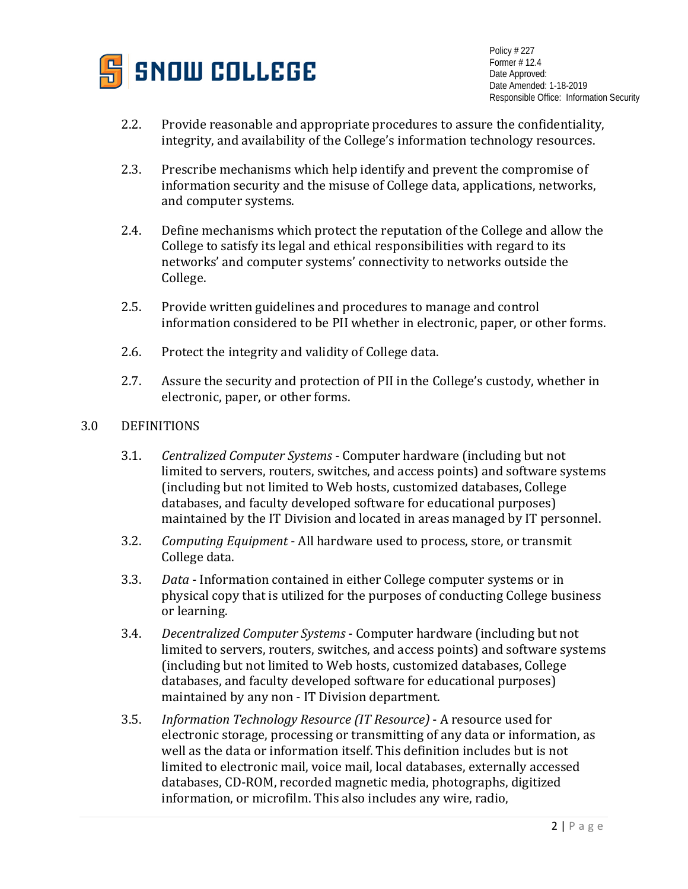

- 2.2. Provide reasonable and appropriate procedures to assure the confidentiality, integrity, and availability of the College's information technology resources.
- 2.3. Prescribe mechanisms which help identify and prevent the compromise of information security and the misuse of College data, applications, networks, and computer systems.
- 2.4. Define mechanisms which protect the reputation of the College and allow the College to satisfy its legal and ethical responsibilities with regard to its networks' and computer systems' connectivity to networks outside the College.
- 2.5. Provide written guidelines and procedures to manage and control information considered to be PII whether in electronic, paper, or other forms.
- 2.6. Protect the integrity and validity of College data.
- 2.7. Assure the security and protection of PII in the College's custody, whether in electronic, paper, or other forms.

## 3.0 DEFINITIONS

- 3.1. *Centralized Computer Systems* Computer hardware (including but not limited to servers, routers, switches, and access points) and software systems (including but not limited to Web hosts, customized databases, College databases, and faculty developed software for educational purposes) maintained by the IT Division and located in areas managed by IT personnel.
- 3.2. *Computing Equipment* All hardware used to process, store, or transmit College data.
- 3.3. *Data* Information contained in either College computer systems or in physical copy that is utilized for the purposes of conducting College business or learning.
- 3.4. *Decentralized Computer Systems* Computer hardware (including but not limited to servers, routers, switches, and access points) and software systems (including but not limited to Web hosts, customized databases, College databases, and faculty developed software for educational purposes) maintained by any non - IT Division department.
- 3.5. *Information Technology Resource (IT Resource)* A resource used for electronic storage, processing or transmitting of any data or information, as well as the data or information itself. This definition includes but is not limited to electronic mail, voice mail, local databases, externally accessed databases, CD-ROM, recorded magnetic media, photographs, digitized information, or microfilm. This also includes any wire, radio,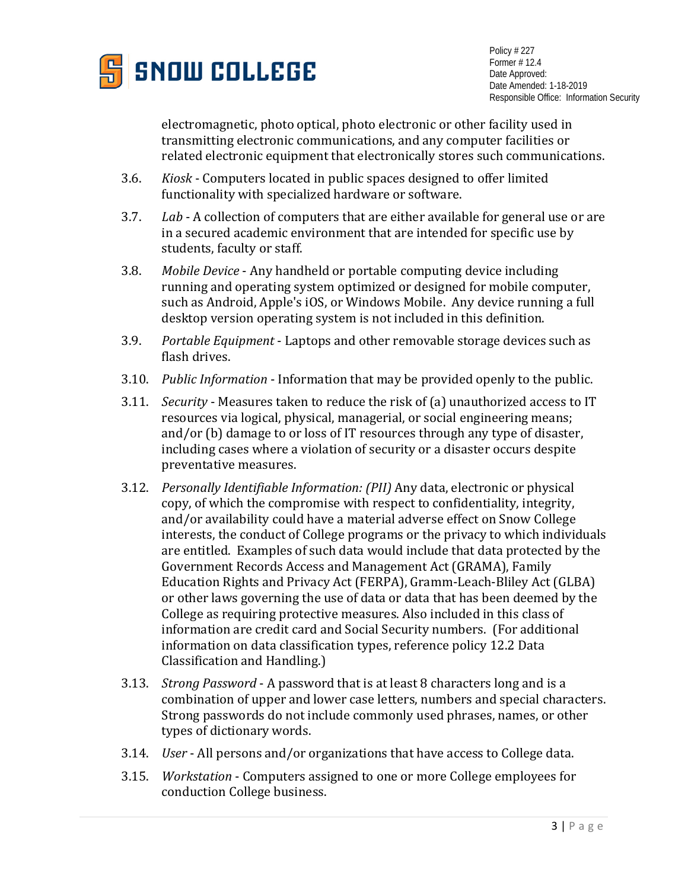

electromagnetic, photo optical, photo electronic or other facility used in transmitting electronic communications, and any computer facilities or related electronic equipment that electronically stores such communications.

- 3.6. *Kiosk* Computers located in public spaces designed to offer limited functionality with specialized hardware or software.
- 3.7. *Lab* A collection of computers that are either available for general use or are in a secured academic environment that are intended for specific use by students, faculty or staff.
- 3.8. *Mobile Device* Any handheld or portable computing device including running and operating system optimized or designed for mobile computer, such as Android, Apple's iOS, or Windows Mobile. Any device running a full desktop version operating system is not included in this definition.
- 3.9. *Portable Equipment* Laptops and other removable storage devices such as flash drives.
- 3.10. *Public Information* Information that may be provided openly to the public.
- 3.11. *Security* Measures taken to reduce the risk of (a) unauthorized access to IT resources via logical, physical, managerial, or social engineering means; and/or (b) damage to or loss of IT resources through any type of disaster, including cases where a violation of security or a disaster occurs despite preventative measures.
- 3.12. *Personally Identifiable Information: (PII)* Any data, electronic or physical copy, of which the compromise with respect to confidentiality, integrity, and/or availability could have a material adverse effect on Snow College interests, the conduct of College programs or the privacy to which individuals are entitled. Examples of such data would include that data protected by the Government Records Access and Management Act (GRAMA), Family Education Rights and Privacy Act (FERPA), Gramm-Leach-Bliley Act (GLBA) or other laws governing the use of data or data that has been deemed by the College as requiring protective measures. Also included in this class of information are credit card and Social Security numbers. (For additional information on data classification types, reference policy 12.2 Data Classification and Handling.)
- 3.13. *Strong Password* A password that is at least 8 characters long and is a combination of upper and lower case letters, numbers and special characters. Strong passwords do not include commonly used phrases, names, or other types of dictionary words.
- 3.14. *User* All persons and/or organizations that have access to College data.
- 3.15. *Workstation*  Computers assigned to one or more College employees for conduction College business.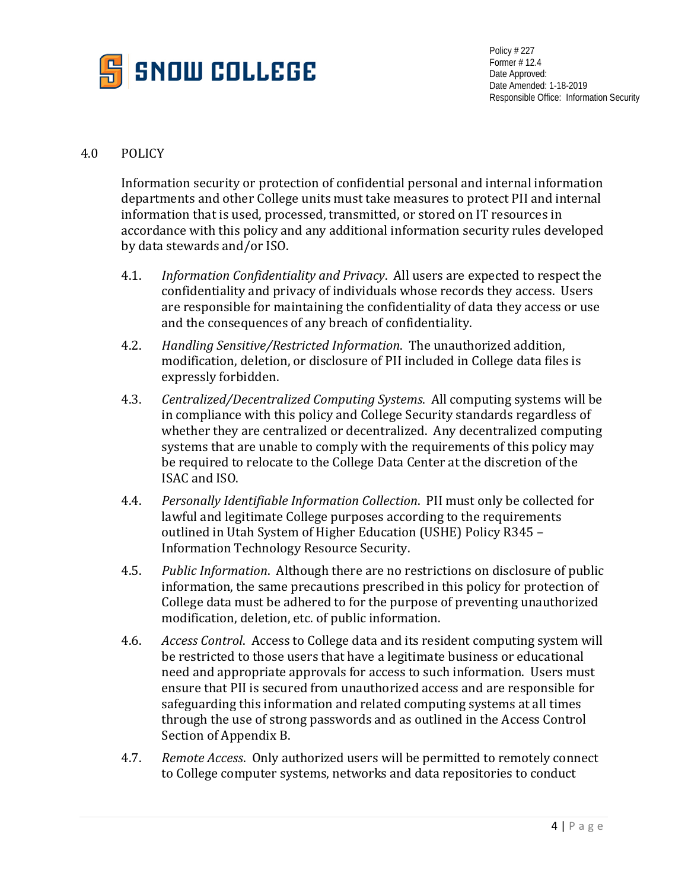

## 4.0 POLICY

Information security or protection of confidential personal and internal information departments and other College units must take measures to protect PII and internal information that is used, processed, transmitted, or stored on IT resources in accordance with this policy and any additional information security rules developed by data stewards and/or ISO.

- 4.1. *Information Confidentiality and Privacy*. All users are expected to respect the confidentiality and privacy of individuals whose records they access. Users are responsible for maintaining the confidentiality of data they access or use and the consequences of any breach of confidentiality.
- 4.2. *Handling Sensitive/Restricted Information*. The unauthorized addition, modification, deletion, or disclosure of PII included in College data files is expressly forbidden.
- 4.3. *Centralized/Decentralized Computing Systems*. All computing systems will be in compliance with this policy and College Security standards regardless of whether they are centralized or decentralized. Any decentralized computing systems that are unable to comply with the requirements of this policy may be required to relocate to the College Data Center at the discretion of the ISAC and ISO.
- 4.4. *Personally Identifiable Information Collection*. PII must only be collected for lawful and legitimate College purposes according to the requirements outlined in Utah System of Higher Education (USHE) Policy R345 – Information Technology Resource Security.
- 4.5. *Public Information*. Although there are no restrictions on disclosure of public information, the same precautions prescribed in this policy for protection of College data must be adhered to for the purpose of preventing unauthorized modification, deletion, etc. of public information.
- 4.6. *Access Control*. Access to College data and its resident computing system will be restricted to those users that have a legitimate business or educational need and appropriate approvals for access to such information. Users must ensure that PII is secured from unauthorized access and are responsible for safeguarding this information and related computing systems at all times through the use of strong passwords and as outlined in the Access Control Section of Appendix B.
- 4.7. *Remote Access*. Only authorized users will be permitted to remotely connect to College computer systems, networks and data repositories to conduct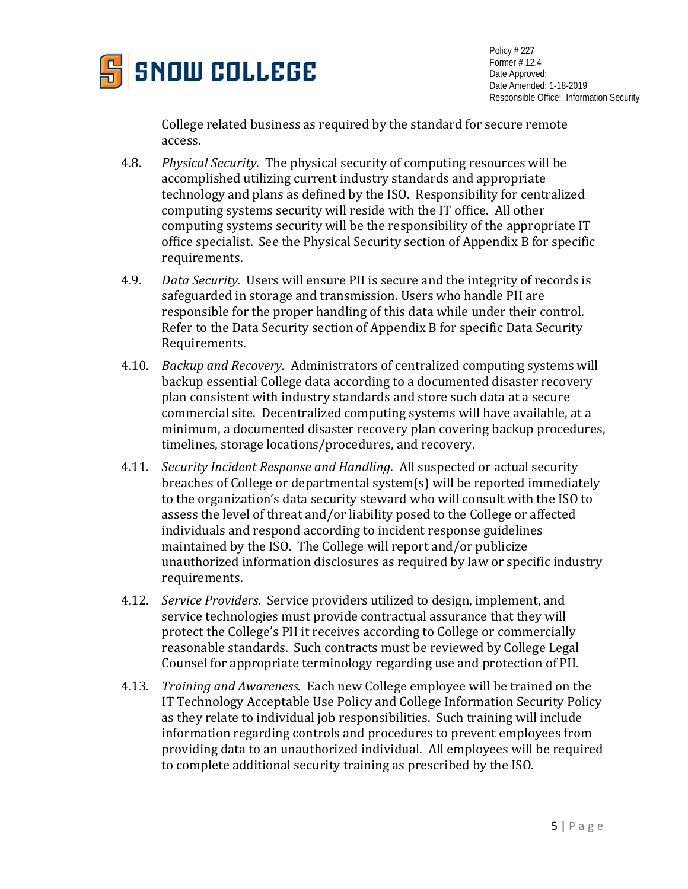

College related business as required by the standard for secure remote access.

- 4.8. *Physical Security*. The physical security of computing resources will be accomplished utilizing current industry standards and appropriate technology and plans as defined by the ISO. Responsibility for centralized computing systems security will reside with the IT office. All other computing systems security will be the responsibility of the appropriate IT office specialist. See the Physical Security section of Appendix B for specific requirements.
- 4.9. *Data Security.* Users will ensure PII is secure and the integrity of records is safeguarded in storage and transmission. Users who handle PII are responsible for the proper handling of this data while under their control. Refer to the Data Security section of Appendix B for specific Data Security Requirements.
- 4.10. *Backup and Recovery*. Administrators of centralized computing systems will backup essential College data according to a documented disaster recovery plan consistent with industry standards and store such data at a secure commercial site. Decentralized computing systems will have available, at a minimum, a documented disaster recovery plan covering backup procedures, timelines, storage locations/procedures, and recovery.
- 4.11. *Security Incident Response and Handling*. All suspected or actual security breaches of College or departmental system(s) will be reported immediately to the organization's data security steward who will consult with the ISO to assess the level of threat and/or liability posed to the College or affected individuals and respond according to incident response guidelines maintained by the ISO. The College will report and/or publicize unauthorized information disclosures as required by law or specific industry requirements.
- 4.12. *Service Providers*. Service providers utilized to design, implement, and service technologies must provide contractual assurance that they will protect the College's PII it receives according to College or commercially reasonable standards. Such contracts must be reviewed by College Legal Counsel for appropriate terminology regarding use and protection of PII.
- 4.13. *Training and Awareness*. Each new College employee will be trained on the IT Technology Acceptable Use Policy and College Information Security Policy as they relate to individual job responsibilities. Such training will include information regarding controls and procedures to prevent employees from providing data to an unauthorized individual. All employees will be required to complete additional security training as prescribed by the ISO.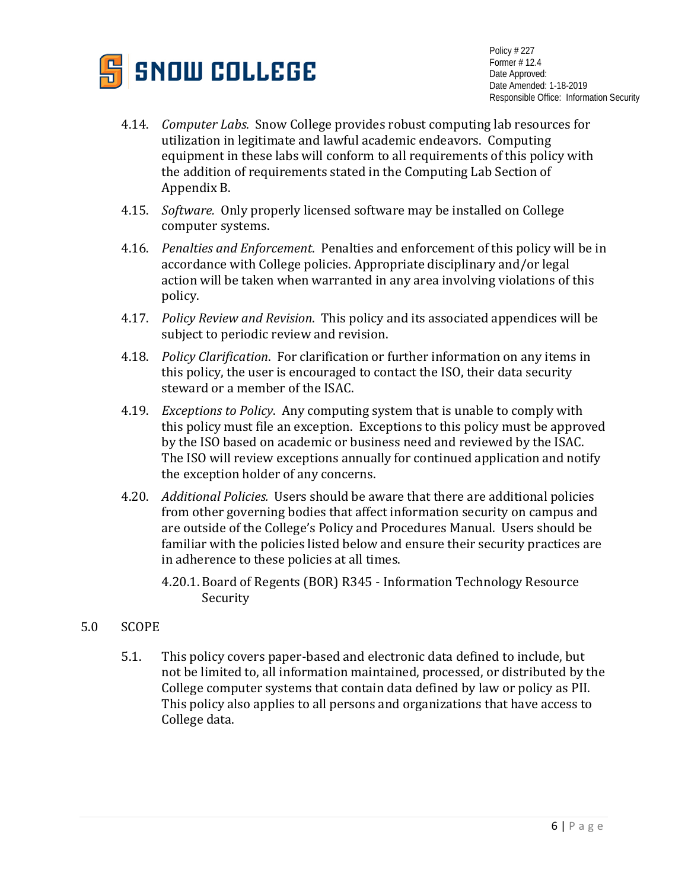

- 4.14. *Computer Labs*. Snow College provides robust computing lab resources for utilization in legitimate and lawful academic endeavors. Computing equipment in these labs will conform to all requirements of this policy with the addition of requirements stated in the Computing Lab Section of Appendix B.
- 4.15. *Software.* Only properly licensed software may be installed on College computer systems.
- 4.16. *Penalties and Enforcement*. Penalties and enforcement of this policy will be in accordance with College policies. Appropriate disciplinary and/or legal action will be taken when warranted in any area involving violations of this policy.
- 4.17. *Policy Review and Revision*. This policy and its associated appendices will be subject to periodic review and revision.
- 4.18. *Policy Clarification*. For clarification or further information on any items in this policy, the user is encouraged to contact the ISO, their data security steward or a member of the ISAC.
- 4.19. *Exceptions to Policy*. Any computing system that is unable to comply with this policy must file an exception. Exceptions to this policy must be approved by the ISO based on academic or business need and reviewed by the ISAC. The ISO will review exceptions annually for continued application and notify the exception holder of any concerns.
- 4.20. *Additional Policies.* Users should be aware that there are additional policies from other governing bodies that affect information security on campus and are outside of the College's Policy and Procedures Manual. Users should be familiar with the policies listed below and ensure their security practices are in adherence to these policies at all times.
	- 4.20.1. Board of Regents (BOR) R345 Information Technology Resource Security
- 5.0 SCOPE
	- 5.1. This policy covers paper-based and electronic data defined to include, but not be limited to, all information maintained, processed, or distributed by the College computer systems that contain data defined by law or policy as PII. This policy also applies to all persons and organizations that have access to College data.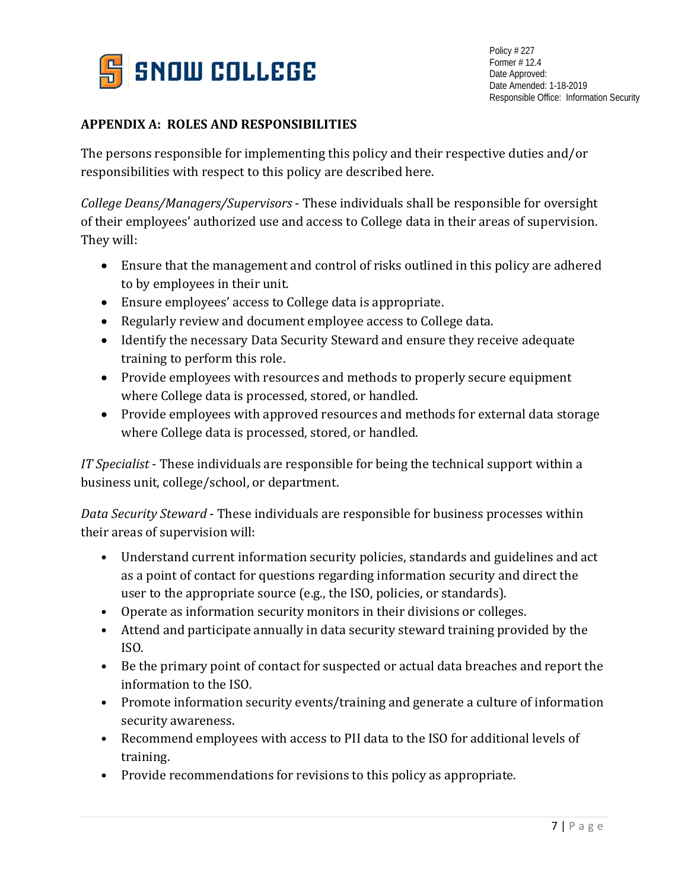

# **APPENDIX A: ROLES AND RESPONSIBILITIES**

The persons responsible for implementing this policy and their respective duties and/or responsibilities with respect to this policy are described here.

*College Deans/Managers/Supervisors* - These individuals shall be responsible for oversight of their employees' authorized use and access to College data in their areas of supervision. They will:

- Ensure that the management and control of risks outlined in this policy are adhered to by employees in their unit.
- Ensure employees' access to College data is appropriate.
- Regularly review and document employee access to College data.
- Identify the necessary Data Security Steward and ensure they receive adequate training to perform this role.
- Provide employees with resources and methods to properly secure equipment where College data is processed, stored, or handled.
- Provide employees with approved resources and methods for external data storage where College data is processed, stored, or handled.

*IT Specialist* - These individuals are responsible for being the technical support within a business unit, college/school, or department.

*Data Security Steward* - These individuals are responsible for business processes within their areas of supervision will:

- Understand current information security policies, standards and guidelines and act as a point of contact for questions regarding information security and direct the user to the appropriate source (e.g., the ISO, policies, or standards).
- Operate as information security monitors in their divisions or colleges.
- Attend and participate annually in data security steward training provided by the ISO.
- Be the primary point of contact for suspected or actual data breaches and report the information to the ISO.
- Promote information security events/training and generate a culture of information security awareness.
- Recommend employees with access to PII data to the ISO for additional levels of training.
- Provide recommendations for revisions to this policy as appropriate.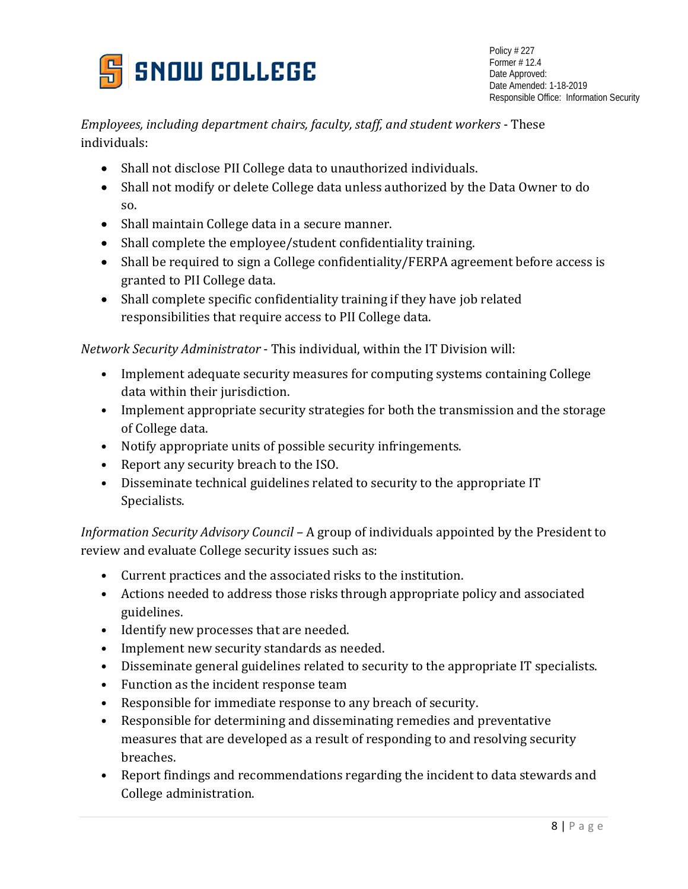

*Employees, including department chairs, faculty, staff, and student workers* - These individuals:

- Shall not disclose PII College data to unauthorized individuals.
- Shall not modify or delete College data unless authorized by the Data Owner to do so.
- Shall maintain College data in a secure manner.
- Shall complete the employee/student confidentiality training.
- Shall be required to sign a College confidentiality/FERPA agreement before access is granted to PII College data.
- Shall complete specific confidentiality training if they have job related responsibilities that require access to PII College data.

*Network Security Administrator* - This individual, within the IT Division will:

- Implement adequate security measures for computing systems containing College data within their jurisdiction.
- Implement appropriate security strategies for both the transmission and the storage of College data.
- Notify appropriate units of possible security infringements.
- Report any security breach to the ISO.
- Disseminate technical guidelines related to security to the appropriate IT Specialists.

*Information Security Advisory Council* – A group of individuals appointed by the President to review and evaluate College security issues such as:

- Current practices and the associated risks to the institution.
- Actions needed to address those risks through appropriate policy and associated guidelines.
- Identify new processes that are needed.
- Implement new security standards as needed.
- Disseminate general guidelines related to security to the appropriate IT specialists.
- Function as the incident response team
- Responsible for immediate response to any breach of security.
- Responsible for determining and disseminating remedies and preventative measures that are developed as a result of responding to and resolving security breaches.
- Report findings and recommendations regarding the incident to data stewards and College administration.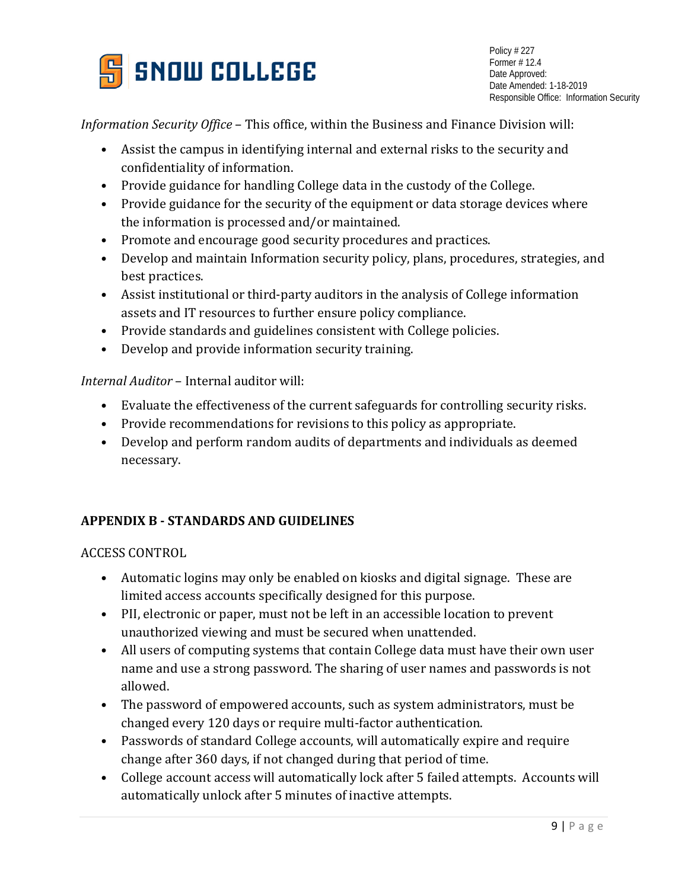

*Information Security Office* – This office, within the Business and Finance Division will:

- Assist the campus in identifying internal and external risks to the security and confidentiality of information.
- Provide guidance for handling College data in the custody of the College.
- Provide guidance for the security of the equipment or data storage devices where the information is processed and/or maintained.
- Promote and encourage good security procedures and practices.
- Develop and maintain Information security policy, plans, procedures, strategies, and best practices.
- Assist institutional or third-party auditors in the analysis of College information assets and IT resources to further ensure policy compliance.
- Provide standards and guidelines consistent with College policies.
- Develop and provide information security training.

*Internal Auditor* – Internal auditor will:

- Evaluate the effectiveness of the current safeguards for controlling security risks.
- Provide recommendations for revisions to this policy as appropriate.
- Develop and perform random audits of departments and individuals as deemed necessary.

## **APPENDIX B - STANDARDS AND GUIDELINES**

ACCESS CONTROL

- Automatic logins may only be enabled on kiosks and digital signage. These are limited access accounts specifically designed for this purpose.
- PII, electronic or paper, must not be left in an accessible location to prevent unauthorized viewing and must be secured when unattended.
- All users of computing systems that contain College data must have their own user name and use a strong password. The sharing of user names and passwords is not allowed.
- The password of empowered accounts, such as system administrators, must be changed every 120 days or require multi-factor authentication.
- Passwords of standard College accounts, will automatically expire and require change after 360 days, if not changed during that period of time.
- College account access will automatically lock after 5 failed attempts. Accounts will automatically unlock after 5 minutes of inactive attempts.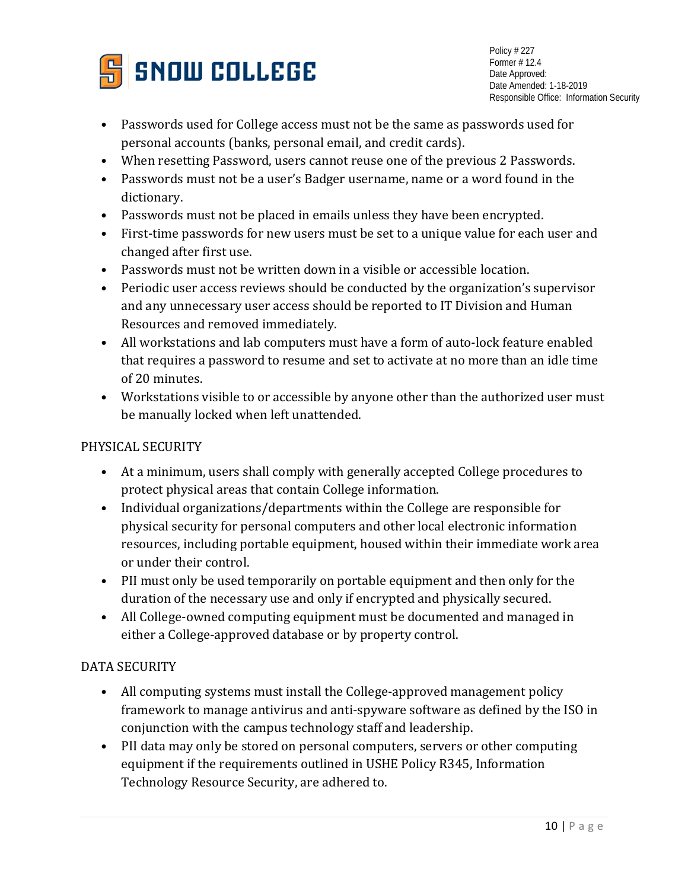

- Passwords used for College access must not be the same as passwords used for personal accounts (banks, personal email, and credit cards).
- When resetting Password, users cannot reuse one of the previous 2 Passwords.
- Passwords must not be a user's Badger username, name or a word found in the dictionary.
- Passwords must not be placed in emails unless they have been encrypted.
- First-time passwords for new users must be set to a unique value for each user and changed after first use.
- Passwords must not be written down in a visible or accessible location.
- Periodic user access reviews should be conducted by the organization's supervisor and any unnecessary user access should be reported to IT Division and Human Resources and removed immediately.
- All workstations and lab computers must have a form of auto-lock feature enabled that requires a password to resume and set to activate at no more than an idle time of 20 minutes.
- Workstations visible to or accessible by anyone other than the authorized user must be manually locked when left unattended.

# PHYSICAL SECURITY

- At a minimum, users shall comply with generally accepted College procedures to protect physical areas that contain College information.
- Individual organizations/departments within the College are responsible for physical security for personal computers and other local electronic information resources, including portable equipment, housed within their immediate work area or under their control.
- PII must only be used temporarily on portable equipment and then only for the duration of the necessary use and only if encrypted and physically secured.
- All College-owned computing equipment must be documented and managed in either a College-approved database or by property control.

# DATA SECURITY

- All computing systems must install the College-approved management policy framework to manage antivirus and anti-spyware software as defined by the ISO in conjunction with the campus technology staff and leadership.
- PII data may only be stored on personal computers, servers or other computing equipment if the requirements outlined in USHE Policy R345, Information Technology Resource Security, are adhered to.